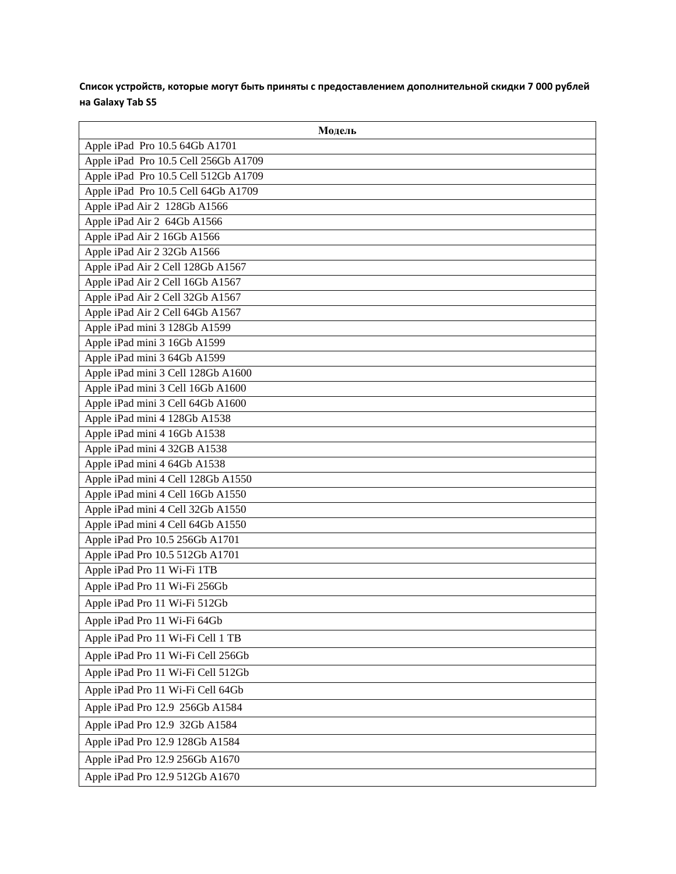**Список устройств, которые могут быть приняты с предоставлением дополнительной скидки 7 000 рублей на Galaxy Tab S5**

| Модель                               |
|--------------------------------------|
| Apple iPad Pro 10.5 64Gb A1701       |
| Apple iPad Pro 10.5 Cell 256Gb A1709 |
| Apple iPad Pro 10.5 Cell 512Gb A1709 |
| Apple iPad Pro 10.5 Cell 64Gb A1709  |
| Apple iPad Air 2 128Gb A1566         |
| Apple iPad Air 2 64Gb A1566          |
| Apple iPad Air 2 16Gb A1566          |
| Apple iPad Air 2 32Gb A1566          |
| Apple iPad Air 2 Cell 128Gb A1567    |
| Apple iPad Air 2 Cell 16Gb A1567     |
| Apple iPad Air 2 Cell 32Gb A1567     |
| Apple iPad Air 2 Cell 64Gb A1567     |
| Apple iPad mini 3 128Gb A1599        |
| Apple iPad mini 3 16Gb A1599         |
| Apple iPad mini 3 64Gb A1599         |
| Apple iPad mini 3 Cell 128Gb A1600   |
| Apple iPad mini 3 Cell 16Gb A1600    |
| Apple iPad mini 3 Cell 64Gb A1600    |
| Apple iPad mini 4 128Gb A1538        |
| Apple iPad mini 4 16Gb A1538         |
| Apple iPad mini 4 32GB A1538         |
| Apple iPad mini 4 64Gb A1538         |
| Apple iPad mini 4 Cell 128Gb A1550   |
| Apple iPad mini 4 Cell 16Gb A1550    |
| Apple iPad mini 4 Cell 32Gb A1550    |
| Apple iPad mini 4 Cell 64Gb A1550    |
| Apple iPad Pro 10.5 256Gb A1701      |
| Apple iPad Pro 10.5 512Gb A1701      |
| Apple iPad Pro 11 Wi-Fi 1TB          |
| Apple iPad Pro 11 Wi-Fi 256Gb        |
| Apple iPad Pro 11 Wi-Fi 512Gb        |
| Apple iPad Pro 11 Wi-Fi 64Gb         |
| Apple iPad Pro 11 Wi-Fi Cell 1 TB    |
| Apple iPad Pro 11 Wi-Fi Cell 256Gb   |
| Apple iPad Pro 11 Wi-Fi Cell 512Gb   |
| Apple iPad Pro 11 Wi-Fi Cell 64Gb    |
| Apple iPad Pro 12.9 256Gb A1584      |
| Apple iPad Pro 12.9 32Gb A1584       |
| Apple iPad Pro 12.9 128Gb A1584      |
| Apple iPad Pro 12.9 256Gb A1670      |
| Apple iPad Pro 12.9 512Gb A1670      |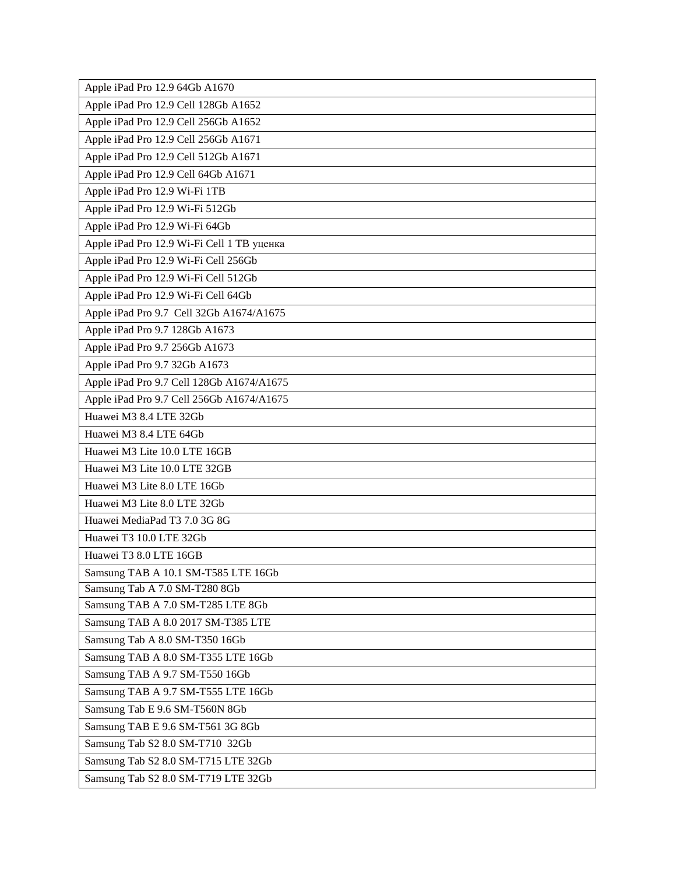| Apple iPad Pro 12.9 64Gb A1670             |
|--------------------------------------------|
| Apple iPad Pro 12.9 Cell 128Gb A1652       |
| Apple iPad Pro 12.9 Cell 256Gb A1652       |
| Apple iPad Pro 12.9 Cell 256Gb A1671       |
| Apple iPad Pro 12.9 Cell 512Gb A1671       |
| Apple iPad Pro 12.9 Cell 64Gb A1671        |
| Apple iPad Pro 12.9 Wi-Fi 1TB              |
| Apple iPad Pro 12.9 Wi-Fi 512Gb            |
| Apple iPad Pro 12.9 Wi-Fi 64Gb             |
| Apple iPad Pro 12.9 Wi-Fi Cell 1 ТВ уценка |
| Apple iPad Pro 12.9 Wi-Fi Cell 256Gb       |
| Apple iPad Pro 12.9 Wi-Fi Cell 512Gb       |
| Apple iPad Pro 12.9 Wi-Fi Cell 64Gb        |
| Apple iPad Pro 9.7 Cell 32Gb A1674/A1675   |
| Apple iPad Pro 9.7 128Gb A1673             |
| Apple iPad Pro 9.7 256Gb A1673             |
| Apple iPad Pro 9.7 32Gb A1673              |
| Apple iPad Pro 9.7 Cell 128Gb A1674/A1675  |
| Apple iPad Pro 9.7 Cell 256Gb A1674/A1675  |
| Huawei M3 8.4 LTE 32Gb                     |
| Huawei M3 8.4 LTE 64Gb                     |
| Huawei M3 Lite 10.0 LTE 16GB               |
| Huawei M3 Lite 10.0 LTE 32GB               |
| Huawei M3 Lite 8.0 LTE 16Gb                |
| Huawei M3 Lite 8.0 LTE 32Gb                |
| Huawei MediaPad T3 7.0 3G 8G               |
| Huawei T3 10.0 LTE 32Gb                    |
| Huawei T3 8.0 LTE 16GB                     |
| Samsung TAB A 10.1 SM-T585 LTE 16Gb        |
| Samsung Tab A 7.0 SM-T280 8Gb              |
| Samsung TAB A 7.0 SM-T285 LTE 8Gb          |
| Samsung TAB A 8.0 2017 SM-T385 LTE         |
| Samsung Tab A 8.0 SM-T350 16Gb             |
| Samsung TAB A 8.0 SM-T355 LTE 16Gb         |
| Samsung TAB A 9.7 SM-T550 16Gb             |
| Samsung TAB A 9.7 SM-T555 LTE 16Gb         |
| Samsung Tab E 9.6 SM-T560N 8Gb             |
| Samsung TAB E 9.6 SM-T561 3G 8Gb           |
| Samsung Tab S2 8.0 SM-T710 32Gb            |
| Samsung Tab S2 8.0 SM-T715 LTE 32Gb        |
| Samsung Tab S2 8.0 SM-T719 LTE 32Gb        |